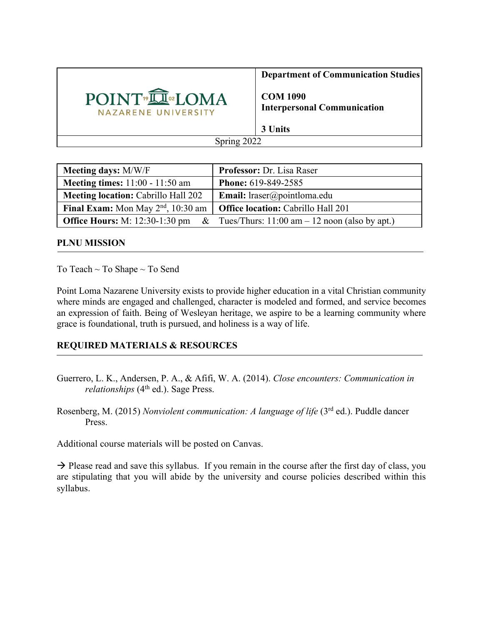

**Department of Communication Studies**

**COM 1090 Interpersonal Communication**

**3 Units**

Spring 2022

| <b>Meeting days: M/W/F</b>                     | Professor: Dr. Lisa Raser                        |
|------------------------------------------------|--------------------------------------------------|
| Meeting times: $11:00 - 11:50$ am              | <b>Phone: 619-849-2585</b>                       |
| <b>Meeting location:</b> Cabrillo Hall 202     | <b>Email:</b> lraser@pointloma.edu               |
| Final Exam: Mon May 2 <sup>nd</sup> , 10:30 am | <b>Office location:</b> Cabrillo Hall 201        |
| <b>Office Hours:</b> M: 12:30-1:30 pm &        | Tues/Thurs: $11:00$ am $-12$ noon (also by apt.) |

#### **PLNU MISSION**

To Teach ~ To Shape ~ To Send

Point Loma Nazarene University exists to provide higher education in a vital Christian community where minds are engaged and challenged, character is modeled and formed, and service becomes an expression of faith. Being of Wesleyan heritage, we aspire to be a learning community where grace is foundational, truth is pursued, and holiness is a way of life.

#### **REQUIRED MATERIALS & RESOURCES**

- Guerrero, L. K., Andersen, P. A., & Afifi, W. A. (2014). *Close encounters: Communication in relationships* (4<sup>th</sup> ed.). Sage Press.
- Rosenberg, M. (2015) *Nonviolent communication: A language of life* (3rd ed.). Puddle dancer Press.

Additional course materials will be posted on Canvas.

 $\rightarrow$  Please read and save this syllabus. If you remain in the course after the first day of class, you are stipulating that you will abide by the university and course policies described within this syllabus.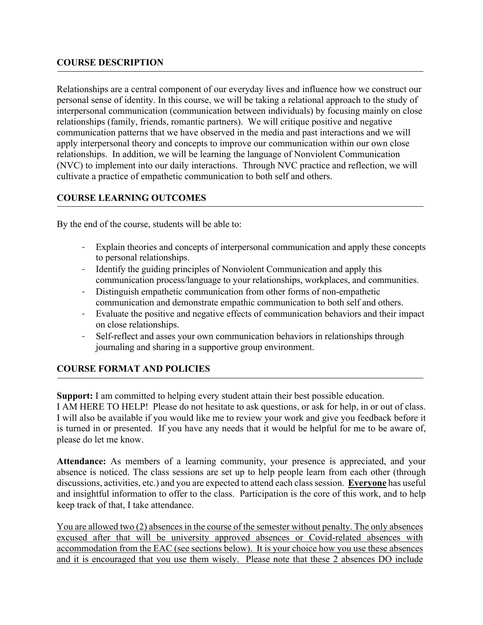#### **COURSE DESCRIPTION**

Relationships are a central component of our everyday lives and influence how we construct our personal sense of identity. In this course, we will be taking a relational approach to the study of interpersonal communication (communication between individuals) by focusing mainly on close relationships (family, friends, romantic partners). We will critique positive and negative communication patterns that we have observed in the media and past interactions and we will apply interpersonal theory and concepts to improve our communication within our own close relationships. In addition, we will be learning the language of Nonviolent Communication (NVC) to implement into our daily interactions. Through NVC practice and reflection, we will cultivate a practice of empathetic communication to both self and others.

### **COURSE LEARNING OUTCOMES**

By the end of the course, students will be able to:

- Explain theories and concepts of interpersonal communication and apply these concepts to personal relationships.
- Identify the guiding principles of Nonviolent Communication and apply this communication process/language to your relationships, workplaces, and communities.
- Distinguish empathetic communication from other forms of non-empathetic communication and demonstrate empathic communication to both self and others.
- Evaluate the positive and negative effects of communication behaviors and their impact on close relationships.
- Self-reflect and asses your own communication behaviors in relationships through journaling and sharing in a supportive group environment.

## **COURSE FORMAT AND POLICIES**

**Support:** I am committed to helping every student attain their best possible education.

I AM HERE TO HELP! Please do not hesitate to ask questions, or ask for help, in or out of class. I will also be available if you would like me to review your work and give you feedback before it is turned in or presented. If you have any needs that it would be helpful for me to be aware of, please do let me know.

**Attendance:** As members of a learning community, your presence is appreciated, and your absence is noticed. The class sessions are set up to help people learn from each other (through discussions, activities, etc.) and you are expected to attend each class session. **Everyone** has useful and insightful information to offer to the class. Participation is the core of this work, and to help keep track of that, I take attendance.

You are allowed two (2) absences in the course of the semester without penalty. The only absences excused after that will be university approved absences or Covid-related absences with accommodation from the EAC (see sections below). It is your choice how you use these absences and it is encouraged that you use them wisely. Please note that these 2 absences DO include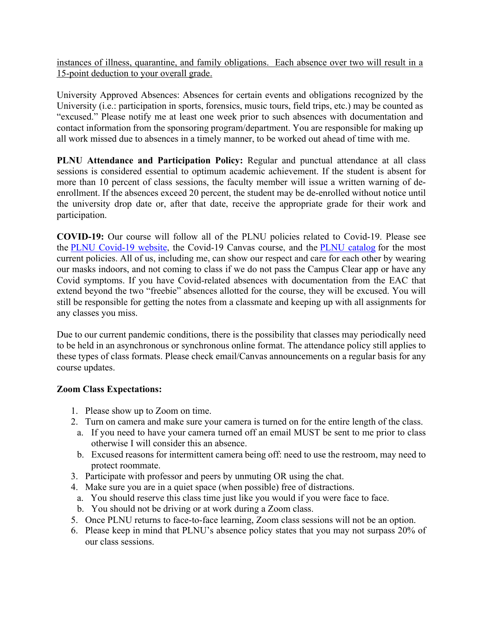instances of illness, quarantine, and family obligations. Each absence over two will result in a 15-point deduction to your overall grade.

University Approved Absences: Absences for certain events and obligations recognized by the University (i.e.: participation in sports, forensics, music tours, field trips, etc.) may be counted as "excused." Please notify me at least one week prior to such absences with documentation and contact information from the sponsoring program/department. You are responsible for making up all work missed due to absences in a timely manner, to be worked out ahead of time with me.

**PLNU Attendance and Participation Policy:** Regular and punctual attendance at all class sessions is considered essential to optimum academic achievement. If the student is absent for more than 10 percent of class sessions, the faculty member will issue a written warning of deenrollment. If the absences exceed 20 percent, the student may be de-enrolled without notice until the university drop date or, after that date, receive the appropriate grade for their work and participation.

**COVID-19:** Our course will follow all of the PLNU policies related to Covid-19. Please see the PLNU Covid-19 website, the Covid-19 Canvas course, and the PLNU catalog for the most current policies. All of us, including me, can show our respect and care for each other by wearing our masks indoors, and not coming to class if we do not pass the Campus Clear app or have any Covid symptoms. If you have Covid-related absences with documentation from the EAC that extend beyond the two "freebie" absences allotted for the course, they will be excused. You will still be responsible for getting the notes from a classmate and keeping up with all assignments for any classes you miss.

Due to our current pandemic conditions, there is the possibility that classes may periodically need to be held in an asynchronous or synchronous online format. The attendance policy still applies to these types of class formats. Please check email/Canvas announcements on a regular basis for any course updates.

#### **Zoom Class Expectations:**

- 1. Please show up to Zoom on time.
- 2. Turn on camera and make sure your camera is turned on for the entire length of the class.
- a. If you need to have your camera turned off an email MUST be sent to me prior to class otherwise I will consider this an absence.
- b. Excused reasons for intermittent camera being off: need to use the restroom, may need to protect roommate.
- 3. Participate with professor and peers by unmuting OR using the chat.
- 4. Make sure you are in a quiet space (when possible) free of distractions.
- a. You should reserve this class time just like you would if you were face to face.
- b. You should not be driving or at work during a Zoom class.
- 5. Once PLNU returns to face-to-face learning, Zoom class sessions will not be an option.
- 6. Please keep in mind that PLNU's absence policy states that you may not surpass 20% of our class sessions.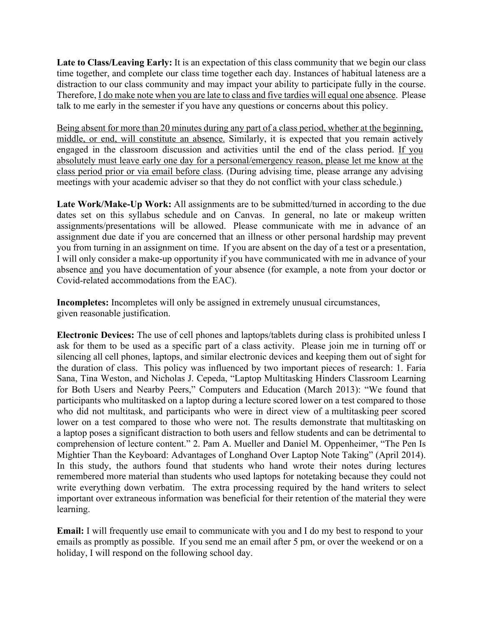**Late to Class/Leaving Early:** It is an expectation of this class community that we begin our class time together, and complete our class time together each day. Instances of habitual lateness are a distraction to our class community and may impact your ability to participate fully in the course. Therefore, I do make note when you are late to class and five tardies will equal one absence. Please talk to me early in the semester if you have any questions or concerns about this policy.

Being absent for more than 20 minutes during any part of a class period, whether at the beginning, middle, or end, will constitute an absence. Similarly, it is expected that you remain actively engaged in the classroom discussion and activities until the end of the class period. If you absolutely must leave early one day for a personal/emergency reason, please let me know at the class period prior or via email before class. (During advising time, please arrange any advising meetings with your academic adviser so that they do not conflict with your class schedule.)

Late Work/Make-Up Work: All assignments are to be submitted/turned in according to the due dates set on this syllabus schedule and on Canvas. In general, no late or makeup written assignments/presentations will be allowed. Please communicate with me in advance of an assignment due date if you are concerned that an illness or other personal hardship may prevent you from turning in an assignment on time. If you are absent on the day of a test or a presentation, I will only consider a make-up opportunity if you have communicated with me in advance of your absence and you have documentation of your absence (for example, a note from your doctor or Covid-related accommodations from the EAC).

**Incompletes:** Incompletes will only be assigned in extremely unusual circumstances, given reasonable justification.

**Electronic Devices:** The use of cell phones and laptops/tablets during class is prohibited unless I ask for them to be used as a specific part of a class activity. Please join me in turning off or silencing all cell phones, laptops, and similar electronic devices and keeping them out of sight for the duration of class. This policy was influenced by two important pieces of research: 1. Faria Sana, Tina Weston, and Nicholas J. Cepeda, "Laptop Multitasking Hinders Classroom Learning for Both Users and Nearby Peers," Computers and Education (March 2013): "We found that participants who multitasked on a laptop during a lecture scored lower on a test compared to those who did not multitask, and participants who were in direct view of a multitasking peer scored lower on a test compared to those who were not. The results demonstrate that multitasking on a laptop poses a significant distraction to both users and fellow students and can be detrimental to comprehension of lecture content." 2. Pam A. Mueller and Daniel M. Oppenheimer, "The Pen Is Mightier Than the Keyboard: Advantages of Longhand Over Laptop Note Taking" (April 2014). In this study, the authors found that students who hand wrote their notes during lectures remembered more material than students who used laptops for notetaking because they could not write everything down verbatim. The extra processing required by the hand writers to select important over extraneous information was beneficial for their retention of the material they were learning.

**Email:** I will frequently use email to communicate with you and I do my best to respond to your emails as promptly as possible. If you send me an email after 5 pm, or over the weekend or on a holiday, I will respond on the following school day.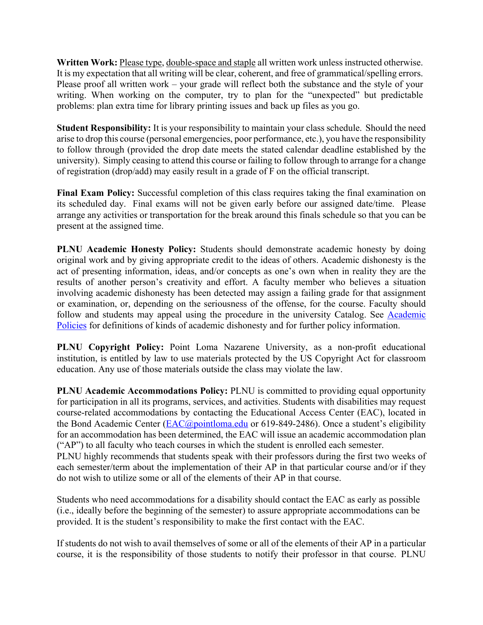**Written Work:** Please type, double-space and staple all written work unless instructed otherwise. It is my expectation that all writing will be clear, coherent, and free of grammatical/spelling errors. Please proof all written work – your grade will reflect both the substance and the style of your writing. When working on the computer, try to plan for the "unexpected" but predictable problems: plan extra time for library printing issues and back up files as you go.

**Student Responsibility:** It is your responsibility to maintain your class schedule. Should the need arise to drop this course (personal emergencies, poor performance, etc.), you have the responsibility to follow through (provided the drop date meets the stated calendar deadline established by the university). Simply ceasing to attend this course or failing to follow through to arrange for a change of registration (drop/add) may easily result in a grade of F on the official transcript.

**Final Exam Policy:** Successful completion of this class requires taking the final examination on its scheduled day. Final exams will not be given early before our assigned date/time. Please arrange any activities or transportation for the break around this finals schedule so that you can be present at the assigned time.

**PLNU Academic Honesty Policy:** Students should demonstrate academic honesty by doing original work and by giving appropriate credit to the ideas of others. Academic dishonesty is the act of presenting information, ideas, and/or concepts as one's own when in reality they are the results of another person's creativity and effort. A faculty member who believes a situation involving academic dishonesty has been detected may assign a failing grade for that assignment or examination, or, depending on the seriousness of the offense, for the course. Faculty should follow and students may appeal using the procedure in the university Catalog. See Academic Policies for definitions of kinds of academic dishonesty and for further policy information.

**PLNU Copyright Policy:** Point Loma Nazarene University, as a non-profit educational institution, is entitled by law to use materials protected by the US Copyright Act for classroom education. Any use of those materials outside the class may violate the law.

**PLNU Academic Accommodations Policy:** PLNU is committed to providing equal opportunity for participation in all its programs, services, and activities. Students with disabilities may request course-related accommodations by contacting the Educational Access Center (EAC), located in the Bond Academic Center ( $\text{EAC}(a)$  pointloma.edu or 619-849-2486). Once a student's eligibility for an accommodation has been determined, the EAC will issue an academic accommodation plan ("AP") to all faculty who teach courses in which the student is enrolled each semester. PLNU highly recommends that students speak with their professors during the first two weeks of each semester/term about the implementation of their AP in that particular course and/or if they do not wish to utilize some or all of the elements of their AP in that course.

Students who need accommodations for a disability should contact the EAC as early as possible (i.e., ideally before the beginning of the semester) to assure appropriate accommodations can be provided. It is the student's responsibility to make the first contact with the EAC.

If students do not wish to avail themselves of some or all of the elements of their AP in a particular course, it is the responsibility of those students to notify their professor in that course. PLNU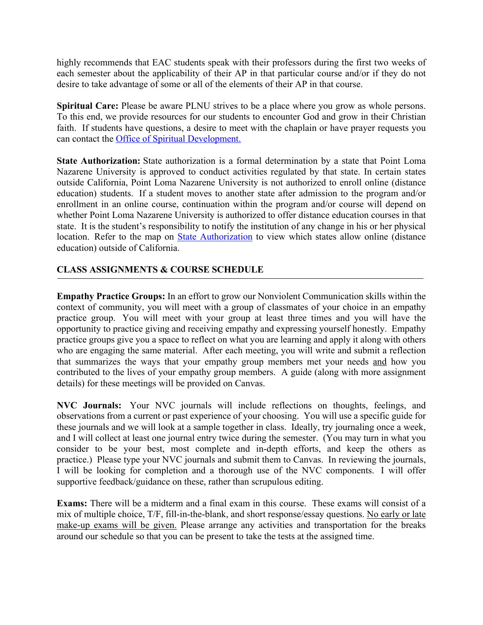highly recommends that EAC students speak with their professors during the first two weeks of each semester about the applicability of their AP in that particular course and/or if they do not desire to take advantage of some or all of the elements of their AP in that course.

**Spiritual Care:** Please be aware PLNU strives to be a place where you grow as whole persons. To this end, we provide resources for our students to encounter God and grow in their Christian faith. If students have questions, a desire to meet with the chaplain or have prayer requests you can contact the Office of Spiritual Development.

**State Authorization:** State authorization is a formal determination by a state that Point Loma Nazarene University is approved to conduct activities regulated by that state. In certain states outside California, Point Loma Nazarene University is not authorized to enroll online (distance education) students. If a student moves to another state after admission to the program and/or enrollment in an online course, continuation within the program and/or course will depend on whether Point Loma Nazarene University is authorized to offer distance education courses in that state. It is the student's responsibility to notify the institution of any change in his or her physical location. Refer to the map on State Authorization to view which states allow online (distance education) outside of California.

### **CLASS ASSIGNMENTS & COURSE SCHEDULE**

**Empathy Practice Groups:** In an effort to grow our Nonviolent Communication skills within the context of community, you will meet with a group of classmates of your choice in an empathy practice group. You will meet with your group at least three times and you will have the opportunity to practice giving and receiving empathy and expressing yourself honestly. Empathy practice groups give you a space to reflect on what you are learning and apply it along with others who are engaging the same material. After each meeting, you will write and submit a reflection that summarizes the ways that your empathy group members met your needs and how you contributed to the lives of your empathy group members. A guide (along with more assignment details) for these meetings will be provided on Canvas.

**NVC Journals:** Your NVC journals will include reflections on thoughts, feelings, and observations from a current or past experience of your choosing. You will use a specific guide for these journals and we will look at a sample together in class. Ideally, try journaling once a week, and I will collect at least one journal entry twice during the semester. (You may turn in what you consider to be your best, most complete and in-depth efforts, and keep the others as practice.) Please type your NVC journals and submit them to Canvas. In reviewing the journals, I will be looking for completion and a thorough use of the NVC components. I will offer supportive feedback/guidance on these, rather than scrupulous editing.

**Exams:** There will be a midterm and a final exam in this course. These exams will consist of a mix of multiple choice, T/F, fill-in-the-blank, and short response/essay questions. No early or late make-up exams will be given. Please arrange any activities and transportation for the breaks around our schedule so that you can be present to take the tests at the assigned time.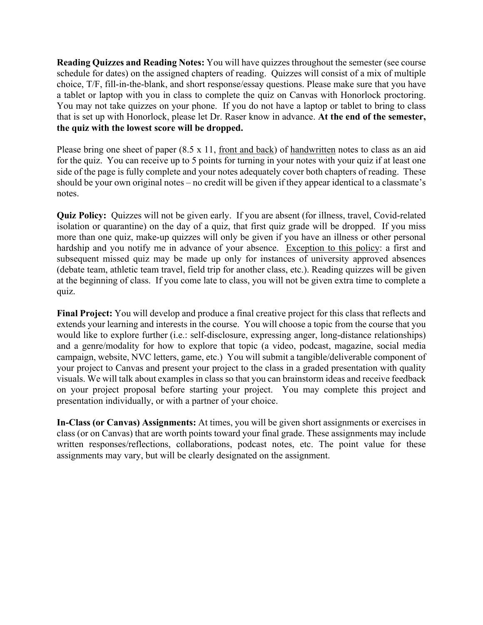**Reading Quizzes and Reading Notes:** You will have quizzes throughout the semester (see course schedule for dates) on the assigned chapters of reading. Quizzes will consist of a mix of multiple choice, T/F, fill-in-the-blank, and short response/essay questions. Please make sure that you have a tablet or laptop with you in class to complete the quiz on Canvas with Honorlock proctoring. You may not take quizzes on your phone. If you do not have a laptop or tablet to bring to class that is set up with Honorlock, please let Dr. Raser know in advance. **At the end of the semester, the quiz with the lowest score will be dropped.**

Please bring one sheet of paper (8.5 x 11, front and back) of handwritten notes to class as an aid for the quiz. You can receive up to 5 points for turning in your notes with your quiz if at least one side of the page is fully complete and your notes adequately cover both chapters of reading. These should be your own original notes – no credit will be given if they appear identical to a classmate's notes.

**Quiz Policy:** Quizzes will not be given early. If you are absent (for illness, travel, Covid-related isolation or quarantine) on the day of a quiz, that first quiz grade will be dropped. If you miss more than one quiz, make-up quizzes will only be given if you have an illness or other personal hardship and you notify me in advance of your absence. Exception to this policy: a first and subsequent missed quiz may be made up only for instances of university approved absences (debate team, athletic team travel, field trip for another class, etc.). Reading quizzes will be given at the beginning of class. If you come late to class, you will not be given extra time to complete a quiz.

**Final Project:** You will develop and produce a final creative project for this class that reflects and extends your learning and interests in the course. You will choose a topic from the course that you would like to explore further (i.e.: self-disclosure, expressing anger, long-distance relationships) and a genre/modality for how to explore that topic (a video, podcast, magazine, social media campaign, website, NVC letters, game, etc.) You will submit a tangible/deliverable component of your project to Canvas and present your project to the class in a graded presentation with quality visuals. We will talk about examples in class so that you can brainstorm ideas and receive feedback on your project proposal before starting your project. You may complete this project and presentation individually, or with a partner of your choice.

**In-Class (or Canvas) Assignments:** At times, you will be given short assignments or exercises in class (or on Canvas) that are worth points toward your final grade. These assignments may include written responses/reflections, collaborations, podcast notes, etc. The point value for these assignments may vary, but will be clearly designated on the assignment.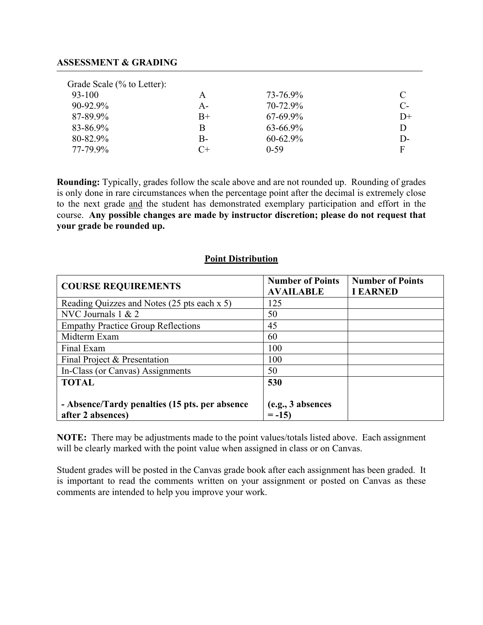#### **ASSESSMENT & GRADING**

| Grade Scale (% to Letter): |       |               |       |
|----------------------------|-------|---------------|-------|
| 93-100                     | A     | 73-76.9%      | C     |
| 90-92.9%                   | A-    | 70-72.9%      | $C$ - |
| 87-89.9%                   | $B+$  | $67 - 69.9\%$ | $D+$  |
| 83-86.9%                   | B     | 63-66.9%      | D     |
| 80-82.9%                   | $B -$ | $60 - 62.9\%$ | $D$ - |
| 77-79.9%                   | $C+$  | $0-59$        | F     |

**Rounding:** Typically, grades follow the scale above and are not rounded up. Rounding of grades is only done in rare circumstances when the percentage point after the decimal is extremely close to the next grade and the student has demonstrated exemplary participation and effort in the course. **Any possible changes are made by instructor discretion; please do not request that your grade be rounded up.**

#### **Point Distribution**

| <b>COURSE REQUIREMENTS</b>                                          | <b>Number of Points</b><br><b>AVAILABLE</b> | <b>Number of Points</b><br><b>I EARNED</b> |
|---------------------------------------------------------------------|---------------------------------------------|--------------------------------------------|
| Reading Quizzes and Notes (25 pts each x 5)                         | 125                                         |                                            |
| NVC Journals $1 & 2$                                                | 50                                          |                                            |
| <b>Empathy Practice Group Reflections</b>                           | 45                                          |                                            |
| Midterm Exam                                                        | 60                                          |                                            |
| Final Exam                                                          | 100                                         |                                            |
| Final Project & Presentation                                        | 100                                         |                                            |
| In-Class (or Canvas) Assignments                                    | 50                                          |                                            |
| <b>TOTAL</b>                                                        | 530                                         |                                            |
| - Absence/Tardy penalties (15 pts. per absence<br>after 2 absences) | (e.g., 3 absences<br>$= -15$                |                                            |

**NOTE:** There may be adjustments made to the point values/totals listed above. Each assignment will be clearly marked with the point value when assigned in class or on Canvas.

Student grades will be posted in the Canvas grade book after each assignment has been graded. It is important to read the comments written on your assignment or posted on Canvas as these comments are intended to help you improve your work.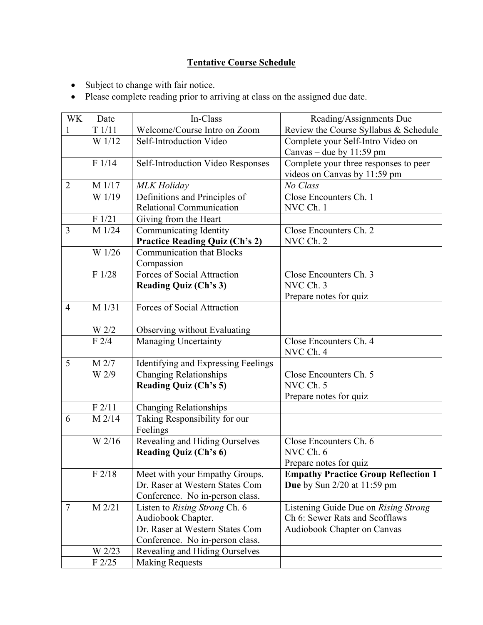# **Tentative Course Schedule**

- Subject to change with fair notice.
- Please complete reading prior to arriving at class on the assigned due date.

| WK             | Date                | In-Class                              | Reading/Assignments Due                    |
|----------------|---------------------|---------------------------------------|--------------------------------------------|
| 1              | T1/11               | Welcome/Course Intro on Zoom          | Review the Course Syllabus & Schedule      |
|                | $\overline{W}$ 1/12 | Self-Introduction Video               | Complete your Self-Intro Video on          |
|                |                     |                                       | Canvas – due by $11:59$ pm                 |
|                | F 1/14              | Self-Introduction Video Responses     | Complete your three responses to peer      |
|                |                     |                                       | videos on Canvas by 11:59 pm               |
| $\overline{2}$ | M 1/17              | <b>MLK</b> Holiday                    | No Class                                   |
|                | W 1/19              | Definitions and Principles of         | Close Encounters Ch. 1                     |
|                |                     | <b>Relational Communication</b>       | NVC Ch. 1                                  |
|                | F 1/21              | Giving from the Heart                 |                                            |
| 3              | M 1/24              | Communicating Identity                | Close Encounters Ch. 2                     |
|                |                     | <b>Practice Reading Quiz (Ch's 2)</b> | NVC Ch. 2                                  |
|                | W 1/26              | <b>Communication that Blocks</b>      |                                            |
|                |                     | Compassion                            |                                            |
|                | F1/28               | Forces of Social Attraction           | Close Encounters Ch. 3                     |
|                |                     | <b>Reading Quiz (Ch's 3)</b>          | NVC Ch. 3                                  |
|                |                     |                                       | Prepare notes for quiz                     |
| $\overline{4}$ | M 1/31              | Forces of Social Attraction           |                                            |
|                |                     |                                       |                                            |
|                | W 2/2               | Observing without Evaluating          |                                            |
|                | F2/4                | <b>Managing Uncertainty</b>           | Close Encounters Ch. 4                     |
|                |                     |                                       | NVC Ch. 4                                  |
| 5              | M 2/7               | Identifying and Expressing Feelings   |                                            |
|                | W 2/9               | <b>Changing Relationships</b>         | Close Encounters Ch. 5                     |
|                |                     | <b>Reading Quiz (Ch's 5)</b>          | NVC Ch. 5                                  |
|                |                     |                                       | Prepare notes for quiz                     |
|                | F2/11               | Changing Relationships                |                                            |
| 6              | $M$ 2/14            | Taking Responsibility for our         |                                            |
|                |                     | Feelings                              |                                            |
|                | W 2/16              | Revealing and Hiding Ourselves        | Close Encounters Ch. 6                     |
|                |                     | <b>Reading Quiz (Ch's 6)</b>          | NVC Ch. 6                                  |
|                |                     |                                       | Prepare notes for quiz                     |
|                | F2/18               | Meet with your Empathy Groups.        | <b>Empathy Practice Group Reflection 1</b> |
|                |                     | Dr. Raser at Western States Com       | <b>Due</b> by Sun $2/20$ at $11:59$ pm     |
|                |                     | Conference. No in-person class.       |                                            |
| $\overline{7}$ | M 2/21              | Listen to Rising Strong Ch. 6         | Listening Guide Due on Rising Strong       |
|                |                     | Audiobook Chapter.                    | Ch 6: Sewer Rats and Scofflaws             |
|                |                     | Dr. Raser at Western States Com       | Audiobook Chapter on Canvas                |
|                |                     | Conference. No in-person class.       |                                            |
|                | W 2/23              | Revealing and Hiding Ourselves        |                                            |
|                | $F$ 2/25            | <b>Making Requests</b>                |                                            |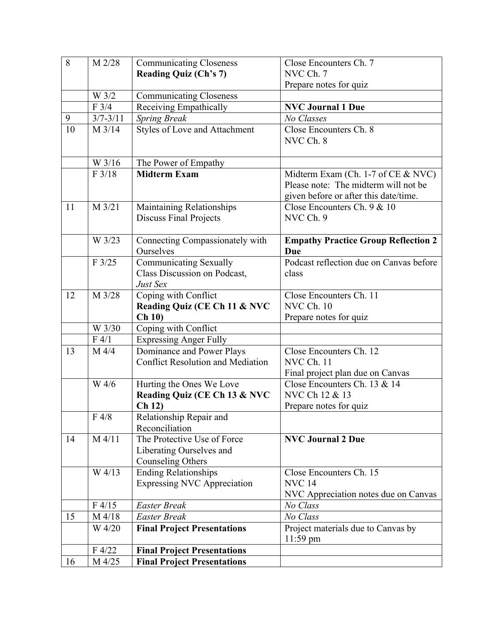| 8  | M 2/28              | <b>Communicating Closeness</b>           | Close Encounters Ch. 7                     |
|----|---------------------|------------------------------------------|--------------------------------------------|
|    |                     | <b>Reading Quiz (Ch's 7)</b>             | NVC Ch. 7                                  |
|    |                     |                                          | Prepare notes for quiz                     |
|    | W 3/2               | Communicating Closeness                  |                                            |
|    | F3/4                | Receiving Empathically                   | <b>NVC Journal 1 Due</b>                   |
| 9  | $3/7 - 3/11$        | <b>Spring Break</b>                      | No Classes                                 |
| 10 | M 3/14              | Styles of Love and Attachment            | Close Encounters Ch. 8                     |
|    |                     |                                          | NVC Ch. 8                                  |
|    |                     |                                          |                                            |
|    | W 3/16              | The Power of Empathy                     |                                            |
|    | F 3/18              | <b>Midterm Exam</b>                      | Midterm Exam (Ch. 1-7 of CE & NVC)         |
|    |                     |                                          | Please note: The midterm will not be       |
|    |                     |                                          | given before or after this date/time.      |
| 11 | M 3/21              | Maintaining Relationships                | Close Encounters Ch. 9 & 10                |
|    |                     | <b>Discuss Final Projects</b>            | NVC Ch. 9                                  |
|    |                     |                                          |                                            |
|    | W 3/23              | Connecting Compassionately with          | <b>Empathy Practice Group Reflection 2</b> |
|    |                     | Ourselves                                | Due                                        |
|    | F3/25               | <b>Communicating Sexually</b>            | Podcast reflection due on Canvas before    |
|    |                     | Class Discussion on Podcast,             | class                                      |
|    |                     | Just Sex                                 |                                            |
| 12 | $M \overline{3/28}$ | Coping with Conflict                     | Close Encounters Ch. 11                    |
|    |                     | Reading Quiz (CE Ch 11 & NVC             | NVC Ch. 10                                 |
|    |                     | Ch 10                                    | Prepare notes for quiz                     |
|    | W 3/30              | Coping with Conflict                     |                                            |
|    | F 4/1               | <b>Expressing Anger Fully</b>            |                                            |
| 13 | M 4/4               | Dominance and Power Plays                | Close Encounters Ch. 12                    |
|    |                     | <b>Conflict Resolution and Mediation</b> | NVC Ch. 11                                 |
|    |                     |                                          | Final project plan due on Canvas           |
|    | W 4/6               | Hurting the Ones We Love                 | Close Encounters Ch. 13 & 14               |
|    |                     | Reading Quiz (CE Ch 13 & NVC             | NVC Ch 12 & 13                             |
|    |                     | Ch 12)                                   | Prepare notes for quiz                     |
|    | F 4/8               | Relationship Repair and                  |                                            |
|    |                     | Reconciliation                           |                                            |
| 14 | $M$ 4/11            | The Protective Use of Force              | <b>NVC Journal 2 Due</b>                   |
|    |                     | Liberating Ourselves and                 |                                            |
|    |                     | <b>Counseling Others</b>                 |                                            |
|    | W 4/13              | <b>Ending Relationships</b>              | Close Encounters Ch. 15                    |
|    |                     | <b>Expressing NVC Appreciation</b>       | <b>NVC 14</b>                              |
|    |                     |                                          | NVC Appreciation notes due on Canvas       |
|    | F4/15               | <b>Easter Break</b>                      | No Class                                   |
| 15 | M 4/18              | <b>Easter Break</b>                      | No Class                                   |
|    | W 4/20              | <b>Final Project Presentations</b>       | Project materials due to Canvas by         |
|    |                     |                                          | $11:59$ pm                                 |
|    | F 4/22              | <b>Final Project Presentations</b>       |                                            |
| 16 | M 4/25              | <b>Final Project Presentations</b>       |                                            |